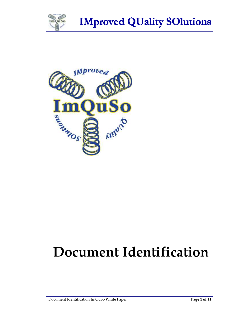



# **Document Identification**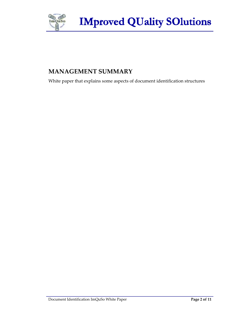

#### **MANAGEMENT SUMMARY**

White paper that explains some aspects of document identification structures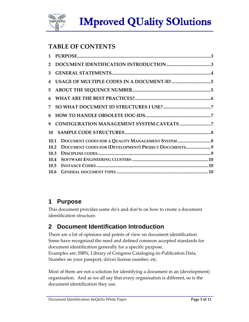

# **TABLE OF CONTENTS**

| $\mathbf{1}$ |                                                     |  |
|--------------|-----------------------------------------------------|--|
| $\mathbf{2}$ |                                                     |  |
| 3            |                                                     |  |
| 4            |                                                     |  |
| 5            |                                                     |  |
| 6            |                                                     |  |
| 7            |                                                     |  |
| 8            |                                                     |  |
| 9            |                                                     |  |
| 10           |                                                     |  |
| <b>10.1</b>  |                                                     |  |
| 10.2         | DOCUMENT CODES FOR (DEVELOPMENT) PROJECT DOCUMENTS9 |  |
| 10.3         |                                                     |  |
| 10.4         |                                                     |  |
| 10.5         |                                                     |  |
| 10.6         |                                                     |  |
|              |                                                     |  |

## **1 Purpose**

This document provides some do's and don'ts on how to create a document identification structure.

# **2 Document Identification Introduction**

There are a lot of opinions and points of view on document identification. Some have recognized the need and defined common accepted standards for document identification generally for a specific purpose. Examples are: ISBN, Library of Congress Cataloging-in-Publication Data, Number on your passport, driver license number, etc.

Most of them are not a solution for identifying a document in an (development) organisation. And as we all say that every organisation is different, so is the document identification they use.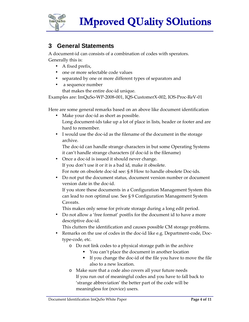

#### **3 General Statements**

A document-id can consists of a combination of codes with sperators. Generally this is:

- A fixed prefix,
- one or more selectable code values
- separated by one or more different types of separators and
- a sequence number that makes the entire doc-id unique.

Examples are: ImQuSo-WP-2008-001, IQS-CustomerX-002, IOS-Proc-ReV-01

Here are some general remarks based on an above like document identification

- Make your doc-id as short as possible. Long document-ids take up a lot of place in lists, header or footer and are hard to remember.
- I would use the doc-id as the filename of the document in the storage archive.

The doc-id can handle strange characters in but some Operating Systems it can't handle strange characters (if doc-id is the filename)

• Once a doc-id is issued it should never change.

If you don't use it or it is a bad id, make it obsolete.

For note on obsolete doc-id see: § 8 How to handle obsolete Doc-ids.

• Do not put the document status, document version number or document version date in the doc-id.

If you store these documents in a Configuration Management System this can lead to non optimal use. See § 9 Configuration Management System Caveats.

This makes only sense for private storage during a long edit period.

• Do not allow a 'free format' postfix for the document id to have a more descriptive doc-id.

This clutters the identification and causes possible CM storage problems.

- Remarks on the use of codes in the doc-id like e.g. Department-code, Doctype-code, etc.
	- o Do not link codes to a physical storage path in the archive
		- You can't place the document in another location
		- If you change the doc-id of the file you have to move the file also to a new location.
	- o Make sure that a code also covers all your future needs If you run out of meaningful codes and you have to fall back to 'strange abbreviation' the better part of the code will be meaningless for (novice) users.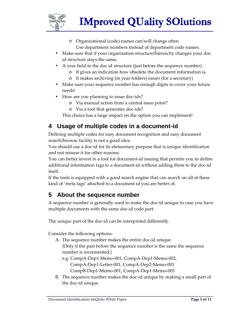

- o Organisational (code) names can/will change often Use department numbers instead of department code names.
- Make sure that if your organisation structure/hierarchy changes your doc id structure stays the same.
- A year field in the doc id structure (just before the sequence number).
	- o It gives an indication how obsolete the document information is.
	- o It makes archiving (in year folders) easier (for a secretary)
- Make sure your sequence number has enough digits to cover your future needs!
- How are you planning to issue doc-ids?
	- o Via manual action from a central issue point?
	- o Via a tool that generates doc-ids?

This choice has a large impact on the option you can implement!

# **4 Usage of multiple codes in a document-id**

Defining multiple codes for easy document recognition and easy document search/browse facility is not a good idea.

You should use a doc-id for its elementary purpose that is unique identification and not misuse it for other reasons.

You can better invest in a tool for document-id issuing that permits you to define additional information tags to a document-id without adding them to the doc-id itself.

If the tools is equipped with a good search engine that can search on all of these kind of 'meta tags' attached to a document id you are better of.

## **5 About the sequence number**

A sequence number is generally used to make the doc-id unique in case you have multiple documents with the same doc-id code part.

The unique part of the doc-id can be interpreted differently.

Consider the following options:

A. The sequence number makes the entire doc-id unique

{Only if the part before the sequence number is the same the sequence number is incremented.}

- e.g. CompA-Dep1-Memo-001, CompA-Dep1-Memo-002, CompA-Dep1-Letter-001, CompA-Dep2-Memo-001 CompB-Dep1-Memo-001, CompA-Dep1-Memo-003
- B. The sequence number makes the doc-id unique by making a small part of the doc-id unique.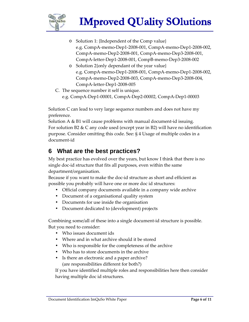

- o Solution 1: {Independent of the Comp value} e.g. CompA-memo-Dep1-2008-001, CompA-memo-Dep1-2008-002, CompA-memo-Dep2-2008-001, CompA-memo-Dep3-2008-001, CompA-letter-Dep1-2008-001, CompB-memo-Dep3-2008-002
- o Solution 2{only dependant of the year value} e.g. CompA-memo-Dep1-2008-001, CompA-memo-Dep1-2008-002, CompA-memo-Dep2-2008-003, CompA-memo-Dep3-2008-004, CompA-letter-Dep1-2008-005
- C. The sequence number it self is unique. e.g. CompA-Dep1-00001, CompA-Dep2-00002, CompA-Dep1-00003

Solution C can lead to very large sequence numbers and does not have my preference.

Solution A & B1 will cause problems with manual document-id issuing. For solution B2  $\&$  C any code used (except year in B2) will have no identification purpose. Consider omitting this code. See: § 4 Usage of multiple codes in a document-id

#### **6 What are the best practices?**

My best practice has evolved over the years, but know I think that there is no single doc-id structure that fits all purposes, even within the same department/organisation.

Because if you want to make the doc-id structure as short and efficient as possible you probably will have one or more doc id structures:

- Official company documents available in a company wide archive
- Document of a organisational quality system
- Documents for use inside the organisation
- Document dedicated to (development) projects

Combining some/all of these into a single document-id structure is possible. But you need to consider:

- Who issues document ids
- Where and in what archive should it be stored
- Who is responsible for the completeness of the archive
- Who has to store documents in the archive
- Is there an electronic and a paper archive? (are responsibilities different for both?)

If you have identified multiple roles and responsibilities here then consider having multiple doc id structures.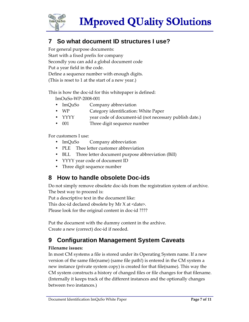

## **7 So what document ID structures I use?**

For general purpose documents: Start with a fixed prefix for company Secondly you can add a global document code Put a year field in the code. Define a sequence number with enough digits. (This is reset to 1 at the start of a new year.)

This is how the doc-id for this whitepaper is defined:

ImOuSo-WP-2008-001

- ImQuSo Company abbreviation
- WP **Category identification: White Paper**
- YYYY year code of document-id (not necessary publish date.)
- 001 Three digit sequence number

For customers I use:

- ImQuSo Company abbreviation
- PLE Thee letter customer abbreviation
- BLL Three letter document purpose abbreviation (Bill)
- YYYY year code of document ID
- Three digit sequence number

#### **8 How to handle obsolete Doc-ids**

Do not simply remove obsolete doc-ids from the registration system of archive. The best way to proceed is:

Put a descriptive text in the document like:

This doc-id declared obsolete by Mr  $X$  at  $\leq$  date $\geq$ .

Please look for the original content in doc-id ????

Put the document with the dummy content in the archive. Create a new (correct) doc-id if needed.

## **9 Configuration Management System Caveats**

#### **Filename issues:**

In most CM systems a file is stored under its Operating System name. If a new version of the same file(name) (same file path!) is entered in the CM system a new instance (private system copy) is created for that file(name). This way the CM system constructs a history of changed files or file changes for that filename. (Internally it keeps track of the different instances and the optionally changes between two instances.)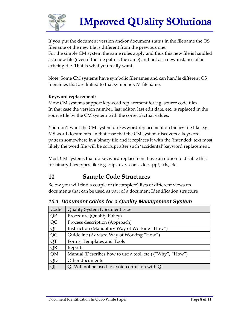

If you put the document version and/or document status in the filename the OS filename of the new file is different from the previous one. For the simple CM system the same rules apply and thus this new file is handled as a new file (even if the file path is the same) and not as a new instance of an existing file. That is what you really want!

Note: Some CM systems have symbolic filenames and can handle different OS filenames that are linked to that symbolic CM filename.

#### **Keyword replacement:**

Most CM systems support keyword replacement for e.g. source code files. In that case the version number, last editor, last edit date, etc. is replaced in the source file by the CM system with the correct/actual values.

You don't want the CM system do keyword replacement on binary file like e.g. MS word documents. In that case that the CM system discovers a keyword pattern somewhere in a binary file and it replaces it with the 'intended' text most likely the word file will be corrupt after such 'accidental' keyword replacement.

Most CM systems that do keyword replacement have an option to disable this for binary files types like e.g. .zip, .exe, .com, .doc, .ppt, .xls, etc.

#### **10 Sample Code Structures**

Below you will find a couple of (incomplete) lists of different views on documents that can be used as part of a document Identification structure

| Code | Quality System Document type                              |
|------|-----------------------------------------------------------|
| QP   | Procedure (Quality Policy)                                |
| QC   | Process description (Approach)                            |
| QI   | Instruction (Mandatory Way of Working "How")              |
| QG   | Guideline (Advised Way of Working "How")                  |
| QT   | Forms, Templates and Tools                                |
| QR   | Reports                                                   |
| QM   | Manual (Describes how to use a tool, etc.) ("Why", "How") |
| QD   | Other documents                                           |
| QJ   | QI Will not be used to avoid confusion with QI            |

**10.1 Document codes for a Quality Management System**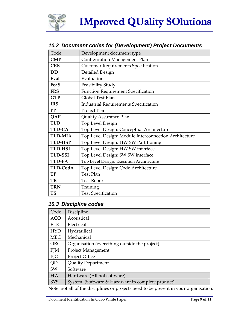

#### **10.2 Document codes for (Development) Project Documents**

| Code            | Development document type                             |
|-----------------|-------------------------------------------------------|
| CMP             | Configuration Management Plan                         |
| <b>CRS</b>      | <b>Customer Requirements Specification</b>            |
| <b>DD</b>       | <b>Detailed Design</b>                                |
| Eval            | Evaluation                                            |
| FeaS            | Feasibility Study                                     |
| <b>FRS</b>      | <b>Function Requirement Specification</b>             |
| <b>GTP</b>      | Global Test Plan                                      |
| <b>IRS</b>      | <b>Industrial Requirements Specification</b>          |
| PP              | Project Plan                                          |
| <b>QAP</b>      | <b>Quality Assurance Plan</b>                         |
| <b>TLD</b>      | Top Level Design                                      |
| <b>TLD-CA</b>   | Top Level Design: Conceptual Architecture             |
| <b>TLD-MIA</b>  | Top Level Design: Module Interconnection Architecture |
| <b>TLD-HSP</b>  | Top Level Design: HW SW Partitioning                  |
| <b>TLD-HSI</b>  | Top Level Design: HW SW interface                     |
| <b>TLD-SSI</b>  | Top Level Design: SW SW interface                     |
| <b>TLD-EA</b>   | Top Level Design: Execution Architecture              |
| <b>TLD-CodA</b> | Top Level Design: Code Architecture                   |
| <b>TP</b>       | <b>Test Plan</b>                                      |
| TR              | <b>Test Report</b>                                    |
| <b>TRN</b>      | Training                                              |
| <b>TS</b>       | <b>Test Specification</b>                             |

#### **10.3 Discipline codes**

| Code       | Discipline                                       |
|------------|--------------------------------------------------|
| <b>ACO</b> | Acoustical                                       |
| <b>ELE</b> | Electrical                                       |
| <b>HYD</b> | Hydraulical                                      |
| <b>MEC</b> | Mechanical                                       |
| <b>ORG</b> | Organisation (everything outside the project)    |
| <b>PJM</b> | <b>Project Management</b>                        |
| PJO        | <b>Project Office</b>                            |
| QD         | <b>Quality Department</b>                        |
| <b>SW</b>  | Software                                         |
| <b>HW</b>  | Hardware (All not software)                      |
| <b>SYS</b> | System (Software & Hardware in complete product) |

Note: not all of the disciplines or projects need to be present in your organisation.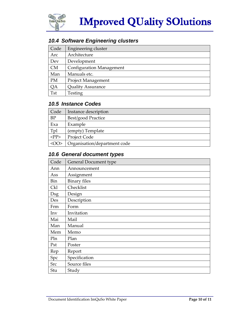

#### **10.4 Software Engineering clusters**

| Code       | Engineering cluster             |
|------------|---------------------------------|
| Arc        | Architecture                    |
| Dev        | Development                     |
| <b>CM</b>  | <b>Configuration Management</b> |
| Man        | Manuals etc.                    |
| <b>PM</b>  | Project Management              |
| QA         | <b>Quality Assurance</b>        |
| <b>Tst</b> | Testing                         |

#### **10.5 Instance Codes**

| Code                                                   | Instance description         |
|--------------------------------------------------------|------------------------------|
| <b>BP</b>                                              | Best/good Practice           |
| Exa                                                    | Example                      |
| Tpl                                                    | (empty) Template             |
| $<$ PP $>$                                             | Project Code                 |
| <no< td=""><td>Organisation/department code</td></no<> | Organisation/department code |

#### **10.6 General document types**

| Code       | General Document type |
|------------|-----------------------|
| Ann        | Announcement          |
| Ass        | Assignment            |
| Bin        | <b>Binary files</b>   |
| <b>Ckl</b> | Checklist             |
| <b>Dsg</b> | Design                |
| Des        | Description           |
| Frm        | Form                  |
| Inv        | Invitation            |
| Mai        | Mail                  |
| Man        | Manual                |
| Mem        | Memo                  |
| Pln        | Plan                  |
| Pst        | Poster                |
| Rep        | Report                |
| Spc        | Specification         |
| <b>Src</b> | Source files          |
| Stu        | Study                 |